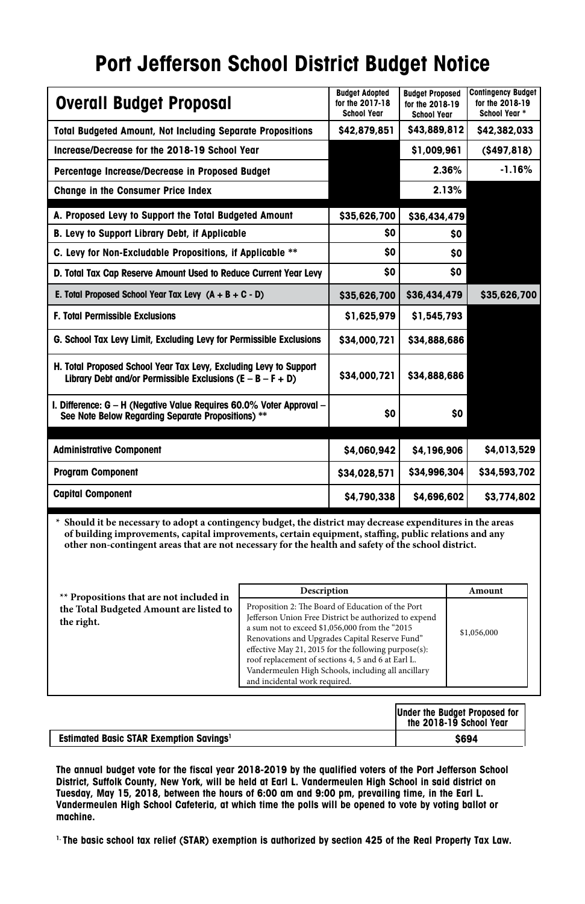## **Port Jefferson School District Budget Notice**

| <b>Overall Budget Proposal</b>                                                                                                    | <b>Budget Adopted</b><br>for the 2017-18<br><b>School Year</b> | <b>Budget Proposed</b><br>for the 2018-19<br><b>School Year</b> | <b>Contingency Budget</b><br>for the 2018-19<br>School Year * |
|-----------------------------------------------------------------------------------------------------------------------------------|----------------------------------------------------------------|-----------------------------------------------------------------|---------------------------------------------------------------|
| <b>Total Budgeted Amount, Not Including Separate Propositions</b>                                                                 | \$42,879,851                                                   | \$43,889,812                                                    | \$42,382,033                                                  |
| Increase/Decrease for the 2018-19 School Year                                                                                     |                                                                | \$1,009,961                                                     | ( \$497, 818)                                                 |
| Percentage Increase/Decrease in Proposed Budget                                                                                   |                                                                | 2.36%                                                           | $-1.16%$                                                      |
| <b>Change in the Consumer Price Index</b>                                                                                         |                                                                | 2.13%                                                           |                                                               |
| A. Proposed Levy to Support the Total Budgeted Amount                                                                             | \$35,626,700                                                   | \$36,434,479                                                    |                                                               |
| B. Levy to Support Library Debt, if Applicable                                                                                    | \$O                                                            | \$O                                                             |                                                               |
| C. Levy for Non-Excludable Propositions, if Applicable **                                                                         | \$O                                                            | \$O                                                             |                                                               |
| D. Total Tax Cap Reserve Amount Used to Reduce Current Year Levy                                                                  | \$O                                                            | \$O                                                             |                                                               |
| E. Total Proposed School Year Tax Levy $(A + B + C - D)$                                                                          | \$35,626,700                                                   | \$36,434,479                                                    | \$35,626,700                                                  |
| <b>F. Total Permissible Exclusions</b>                                                                                            | \$1,625,979                                                    | \$1,545,793                                                     |                                                               |
| G. School Tax Levy Limit, Excluding Levy for Permissible Exclusions                                                               | \$34,000,721                                                   | \$34,888,686                                                    |                                                               |
| H. Total Proposed School Year Tax Levy, Excluding Levy to Support<br>Library Debt and/or Permissible Exclusions $(E - B - F + D)$ | \$34,000,721                                                   | \$34,888,686                                                    |                                                               |
| I. Difference: G - H (Negative Value Requires 60.0% Voter Approval -<br>See Note Below Regarding Separate Propositions) **        | \$O                                                            | \$O                                                             |                                                               |
|                                                                                                                                   |                                                                |                                                                 |                                                               |
| <b>Administrative Component</b>                                                                                                   | \$4,060,942                                                    | \$4,196,906                                                     | \$4,013,529                                                   |
| <b>Program Component</b>                                                                                                          | \$34,028,571                                                   | \$34,996,304                                                    | \$34,593,702                                                  |
| <b>Capital Component</b>                                                                                                          | \$4,790,338                                                    | \$4,696,602                                                     | \$3,774,802                                                   |

**\* Should it be necessary to adopt a contingency budget, the district may decrease expenditures in the areas of building improvements, capital improvements, certain equipment, staffing, public relations and any other non-contingent areas that are not necessary for the health and safety of the school district.** 

| ** Propositions that are not included in              | Description                                                                                                                                                                                                                                                                                                                                                                                                         | Amount      |
|-------------------------------------------------------|---------------------------------------------------------------------------------------------------------------------------------------------------------------------------------------------------------------------------------------------------------------------------------------------------------------------------------------------------------------------------------------------------------------------|-------------|
| the Total Budgeted Amount are listed to<br>the right. | Proposition 2: The Board of Education of the Port<br>Jefferson Union Free District be authorized to expend<br>a sum not to exceed \$1,056,000 from the "2015<br>Renovations and Upgrades Capital Reserve Fund"<br>effective May 21, 2015 for the following purpose(s):<br>roof replacement of sections 4, 5 and 6 at Earl L.<br>Vandermeulen High Schools, including all ancillary<br>and incidental work required. | \$1,056,000 |

|                                                           | Under the Budget Proposed for<br>the 2018-19 School Year |
|-----------------------------------------------------------|----------------------------------------------------------|
| <b>Estimated Basic STAR Exemption Savings<sup>1</sup></b> | \$694                                                    |

**The annual budget vote for the fiscal year 2018-2019 by the qualified voters of the Port Jefferson School District, Suffolk County, New York, will be held at Earl L. Vandermeulen High School in said district on Tuesday, May 15, 2018, between the hours of 6:00 am and 9:00 pm, prevailing time, in the Earl L. Vandermeulen High School Cafeteria, at which time the polls will be opened to vote by voting ballot or machine.**

**1. The basic school tax relief (STAR) exemption is authorized by section 425 of the Real Property Tax Law.**